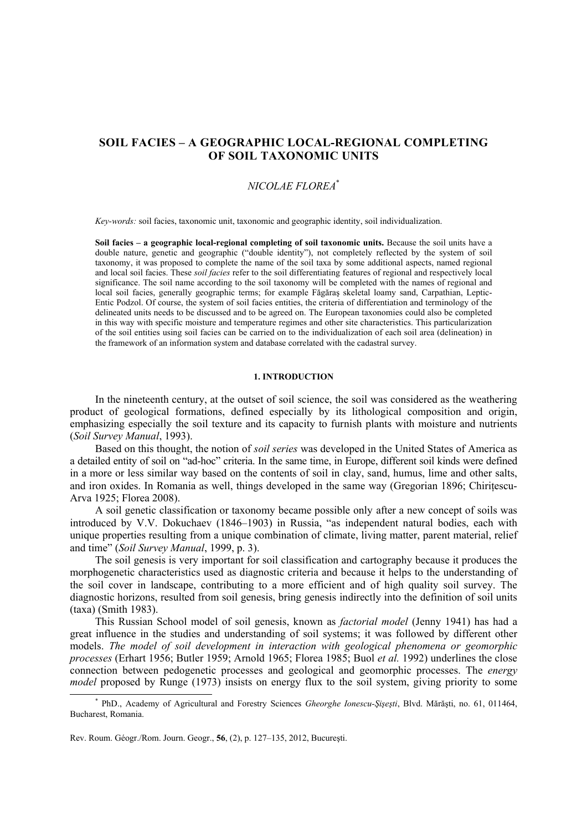# **SOIL FACIES – A GEOGRAPHIC LOCAL-REGIONAL COMPLETING OF SOIL TAXONOMIC UNITS**

# *NICOLAE FLOREA*\*

*Key-words:* soil facies, taxonomic unit, taxonomic and geographic identity, soil individualization.

Soil facies – a geographic local-regional completing of soil taxonomic units. Because the soil units have a double nature, genetic and geographic ("double identity"), not completely reflected by the system of soil taxonomy, it was proposed to complete the name of the soil taxa by some additional aspects, named regional and local soil facies. These *soil facies* refer to the soil differentiating features of regional and respectively local significance. The soil name according to the soil taxonomy will be completed with the names of regional and local soil facies, generally geographic terms; for example Făgăraş skeletal loamy sand, Carpathian, Leptic-Entic Podzol. Of course, the system of soil facies entities, the criteria of differentiation and terminology of the delineated units needs to be discussed and to be agreed on. The European taxonomies could also be completed in this way with specific moisture and temperature regimes and other site characteristics. This particularization of the soil entities using soil facies can be carried on to the individualization of each soil area (delineation) in the framework of an information system and database correlated with the cadastral survey.

#### **1. INTRODUCTION**

In the nineteenth century, at the outset of soil science, the soil was considered as the weathering product of geological formations, defined especially by its lithological composition and origin, emphasizing especially the soil texture and its capacity to furnish plants with moisture and nutrients (*Soil Survey Manual*, 1993).

Based on this thought, the notion of *soil series* was developed in the United States of America as a detailed entity of soil on "ad-hoc" criteria. In the same time, in Europe, different soil kinds were defined in a more or less similar way based on the contents of soil in clay, sand, humus, lime and other salts, and iron oxides. In Romania as well, things developed in the same way (Gregorian 1896; Chiritescu-Arva 1925; Florea 2008).

A soil genetic classification or taxonomy became possible only after a new concept of soils was introduced by V.V. Dokuchaev (1846–1903) in Russia, "as independent natural bodies, each with unique properties resulting from a unique combination of climate, living matter, parent material, relief and time" (*Soil Survey Manual*, 1999, p. 3).

The soil genesis is very important for soil classification and cartography because it produces the morphogenetic characteristics used as diagnostic criteria and because it helps to the understanding of the soil cover in landscape, contributing to a more efficient and of high quality soil survey. The diagnostic horizons, resulted from soil genesis, bring genesis indirectly into the definition of soil units (taxa) (Smith 1983).

This Russian School model of soil genesis, known as *factorial model* (Jenny 1941) has had a great influence in the studies and understanding of soil systems; it was followed by different other models. *The model of soil development in interaction with geological phenomena or geomorphic processes* (Erhart 1956; Butler 1959; Arnold 1965; Florea 1985; Buol *et al.* 1992) underlines the close connection between pedogenetic processes and geological and geomorphic processes. The *energy model* proposed by Runge (1973) insists on energy flux to the soil system, giving priority to some

PhD., Academy of Agricultural and Forestry Sciences *Gheorghe Ionescu-Şişeşti*, Blvd. Mărăşti, no. 61, 011464, Bucharest, Romania.

Rev. Roum. Géogr./Rom. Journ. Geogr., **56**, (2), p. 127–135, 2012, Bucureşti.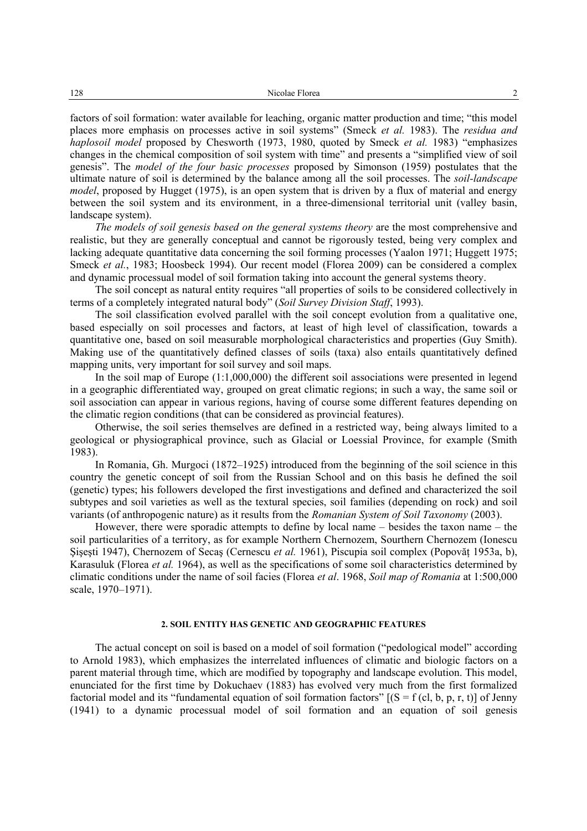factors of soil formation: water available for leaching, organic matter production and time; "this model places more emphasis on processes active in soil systems" (Smeck *et al.* 1983). The *residua and haplosoil model* proposed by Chesworth (1973, 1980, quoted by Smeck *et al.* 1983) "emphasizes changes in the chemical composition of soil system with time" and presents a "simplified view of soil genesis". The *model of the four basic processes* proposed by Simonson (1959) postulates that the ultimate nature of soil is determined by the balance among all the soil processes. The *soil-landscape model*, proposed by Hugget (1975), is an open system that is driven by a flux of material and energy between the soil system and its environment, in a three-dimensional territorial unit (valley basin, landscape system).

*The models of soil genesis based on the general systems theory* are the most comprehensive and realistic, but they are generally conceptual and cannot be rigorously tested, being very complex and lacking adequate quantitative data concerning the soil forming processes (Yaalon 1971; Huggett 1975; Smeck *et al.*, 1983; Hoosbeck 1994). Our recent model (Florea 2009) can be considered a complex and dynamic processual model of soil formation taking into account the general systems theory.

The soil concept as natural entity requires "all properties of soils to be considered collectively in terms of a completely integrated natural body" (*Soil Survey Division Staff*, 1993).

The soil classification evolved parallel with the soil concept evolution from a qualitative one, based especially on soil processes and factors, at least of high level of classification, towards a quantitative one, based on soil measurable morphological characteristics and properties (Guy Smith). Making use of the quantitatively defined classes of soils (taxa) also entails quantitatively defined mapping units, very important for soil survey and soil maps.

In the soil map of Europe (1:1,000,000) the different soil associations were presented in legend in a geographic differentiated way, grouped on great climatic regions; in such a way, the same soil or soil association can appear in various regions, having of course some different features depending on the climatic region conditions (that can be considered as provincial features).

Otherwise, the soil series themselves are defined in a restricted way, being always limited to a geological or physiographical province, such as Glacial or Loessial Province, for example (Smith 1983).

In Romania, Gh. Murgoci (1872–1925) introduced from the beginning of the soil science in this country the genetic concept of soil from the Russian School and on this basis he defined the soil (genetic) types; his followers developed the first investigations and defined and characterized the soil subtypes and soil varieties as well as the textural species, soil families (depending on rock) and soil variants (of anthropogenic nature) as it results from the *Romanian System of Soil Taxonomy* (2003).

However, there were sporadic attempts to define by local name – besides the taxon name – the soil particularities of a territory, as for example Northern Chernozem, Sourthern Chernozem (Ionescu Şişeşti 1947), Chernozem of Secaş (Cernescu *et al.* 1961), Piscupia soil complex (Popovăţ 1953a, b), Karasuluk (Florea *et al.* 1964), as well as the specifications of some soil characteristics determined by climatic conditions under the name of soil facies (Florea *et al*. 1968, *Soil map of Romania* at 1:500,000 scale, 1970–1971).

## **2. SOIL ENTITY HAS GENETIC AND GEOGRAPHIC FEATURES**

The actual concept on soil is based on a model of soil formation ("pedological model" according to Arnold 1983), which emphasizes the interrelated influences of climatic and biologic factors on a parent material through time, which are modified by topography and landscape evolution. This model, enunciated for the first time by Dokuchaev (1883) has evolved very much from the first formalized factorial model and its "fundamental equation of soil formation factors"  $[(S = f (cl, b, p, r, t)]$  of Jenny (1941) to a dynamic processual model of soil formation and an equation of soil genesis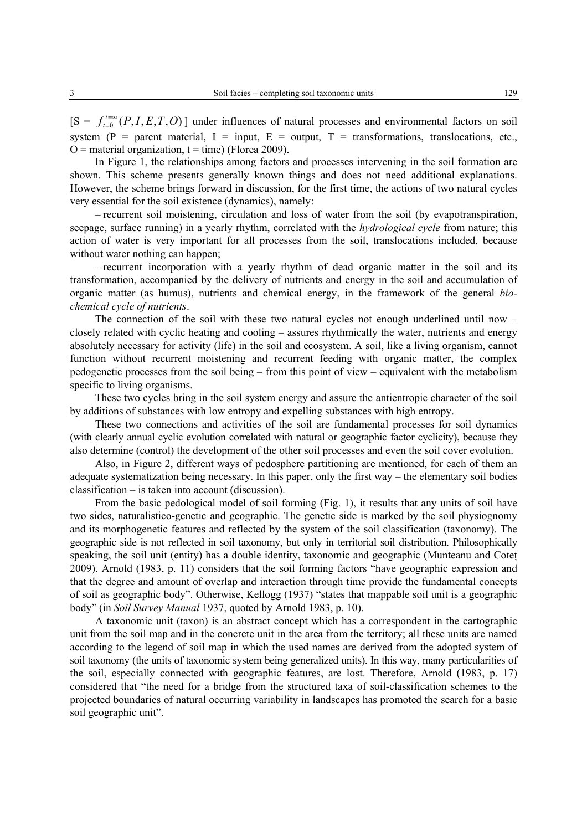$[S = f_{t=0}^{t=\infty} (P, I, E, T, O)$  $_{=0}^{t=\infty}(P, I, E, T, O)$ ] under influences of natural processes and environmental factors on soil system (P = parent material, I = input, E = output, T = transformations, translocations, etc.,  $Q =$  material organization,  $t =$  time) (Florea 2009).

In Figure 1, the relationships among factors and processes intervening in the soil formation are shown. This scheme presents generally known things and does not need additional explanations. However, the scheme brings forward in discussion, for the first time, the actions of two natural cycles very essential for the soil existence (dynamics), namely:

– recurrent soil moistening, circulation and loss of water from the soil (by evapotranspiration, seepage, surface running) in a yearly rhythm, correlated with the *hydrological cycle* from nature; this action of water is very important for all processes from the soil, translocations included, because without water nothing can happen;

– recurrent incorporation with a yearly rhythm of dead organic matter in the soil and its transformation, accompanied by the delivery of nutrients and energy in the soil and accumulation of organic matter (as humus), nutrients and chemical energy, in the framework of the general *biochemical cycle of nutrients*.

The connection of the soil with these two natural cycles not enough underlined until now – closely related with cyclic heating and cooling – assures rhythmically the water, nutrients and energy absolutely necessary for activity (life) in the soil and ecosystem. A soil, like a living organism, cannot function without recurrent moistening and recurrent feeding with organic matter, the complex pedogenetic processes from the soil being – from this point of view – equivalent with the metabolism specific to living organisms.

These two cycles bring in the soil system energy and assure the antientropic character of the soil by additions of substances with low entropy and expelling substances with high entropy.

These two connections and activities of the soil are fundamental processes for soil dynamics (with clearly annual cyclic evolution correlated with natural or geographic factor cyclicity), because they also determine (control) the development of the other soil processes and even the soil cover evolution.

Also, in Figure 2, different ways of pedosphere partitioning are mentioned, for each of them an adequate systematization being necessary. In this paper, only the first way – the elementary soil bodies classification – is taken into account (discussion).

From the basic pedological model of soil forming (Fig. 1), it results that any units of soil have two sides, naturalistico-genetic and geographic. The genetic side is marked by the soil physiognomy and its morphogenetic features and reflected by the system of the soil classification (taxonomy). The geographic side is not reflected in soil taxonomy, but only in territorial soil distribution. Philosophically speaking, the soil unit (entity) has a double identity, taxonomic and geographic (Munteanu and Coteţ 2009). Arnold (1983, p. 11) considers that the soil forming factors "have geographic expression and that the degree and amount of overlap and interaction through time provide the fundamental concepts of soil as geographic body". Otherwise, Kellogg (1937) "states that mappable soil unit is a geographic body" (in *Soil Survey Manual* 1937, quoted by Arnold 1983, p. 10).

A taxonomic unit (taxon) is an abstract concept which has a correspondent in the cartographic unit from the soil map and in the concrete unit in the area from the territory; all these units are named according to the legend of soil map in which the used names are derived from the adopted system of soil taxonomy (the units of taxonomic system being generalized units). In this way, many particularities of the soil, especially connected with geographic features, are lost. Therefore, Arnold (1983, p. 17) considered that "the need for a bridge from the structured taxa of soil-classification schemes to the projected boundaries of natural occurring variability in landscapes has promoted the search for a basic soil geographic unit".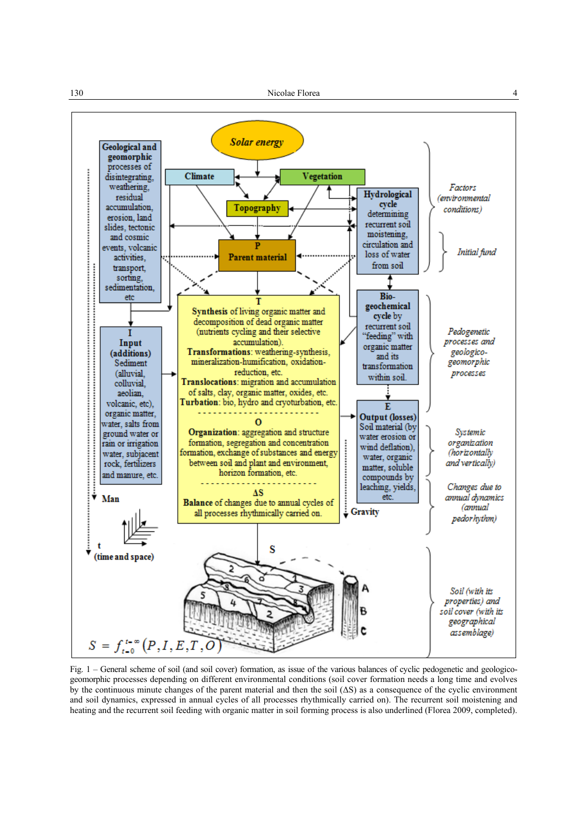

Fig. 1 – General scheme of soil (and soil cover) formation, as issue of the various balances of cyclic pedogenetic and geologicogeomorphic processes depending on different environmental conditions (soil cover formation needs a long time and evolves by the continuous minute changes of the parent material and then the soil (∆S) as a consequence of the cyclic environment and soil dynamics, expressed in annual cycles of all processes rhythmically carried on). The recurrent soil moistening and heating and the recurrent soil feeding with organic matter in soil forming process is also underlined (Florea 2009, completed).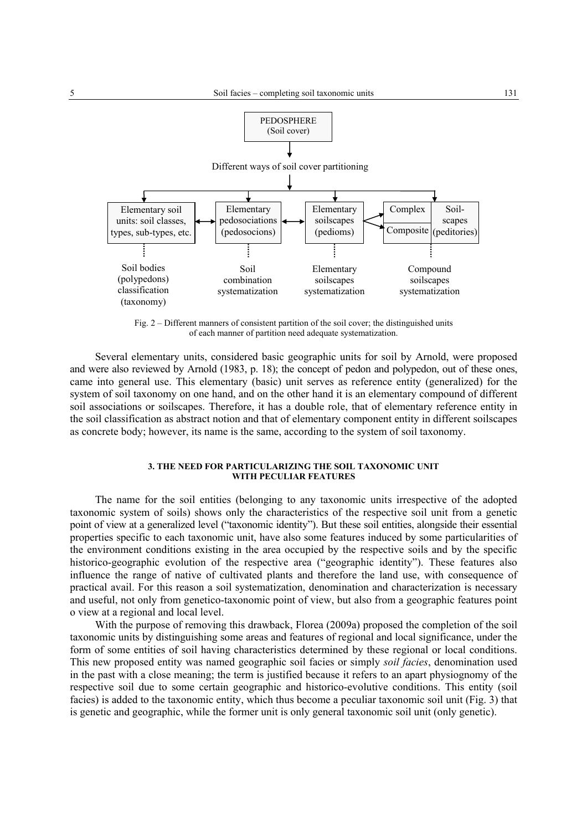

Fig. 2 – Different manners of consistent partition of the soil cover; the distinguished units of each manner of partition need adequate systematization.

Several elementary units, considered basic geographic units for soil by Arnold, were proposed and were also reviewed by Arnold (1983, p. 18); the concept of pedon and polypedon, out of these ones, came into general use. This elementary (basic) unit serves as reference entity (generalized) for the system of soil taxonomy on one hand, and on the other hand it is an elementary compound of different soil associations or soilscapes. Therefore, it has a double role, that of elementary reference entity in the soil classification as abstract notion and that of elementary component entity in different soilscapes as concrete body; however, its name is the same, according to the system of soil taxonomy.

### **3. THE NEED FOR PARTICULARIZING THE SOIL TAXONOMIC UNIT WITH PECULIAR FEATURES**

The name for the soil entities (belonging to any taxonomic units irrespective of the adopted taxonomic system of soils) shows only the characteristics of the respective soil unit from a genetic point of view at a generalized level ("taxonomic identity"). But these soil entities, alongside their essential properties specific to each taxonomic unit, have also some features induced by some particularities of the environment conditions existing in the area occupied by the respective soils and by the specific historico-geographic evolution of the respective area ("geographic identity"). These features also influence the range of native of cultivated plants and therefore the land use, with consequence of practical avail. For this reason a soil systematization, denomination and characterization is necessary and useful, not only from genetico-taxonomic point of view, but also from a geographic features point o view at a regional and local level.

With the purpose of removing this drawback, Florea (2009a) proposed the completion of the soil taxonomic units by distinguishing some areas and features of regional and local significance, under the form of some entities of soil having characteristics determined by these regional or local conditions. This new proposed entity was named geographic soil facies or simply *soil facies*, denomination used in the past with a close meaning; the term is justified because it refers to an apart physiognomy of the respective soil due to some certain geographic and historico-evolutive conditions. This entity (soil facies) is added to the taxonomic entity, which thus become a peculiar taxonomic soil unit (Fig. 3) that is genetic and geographic, while the former unit is only general taxonomic soil unit (only genetic).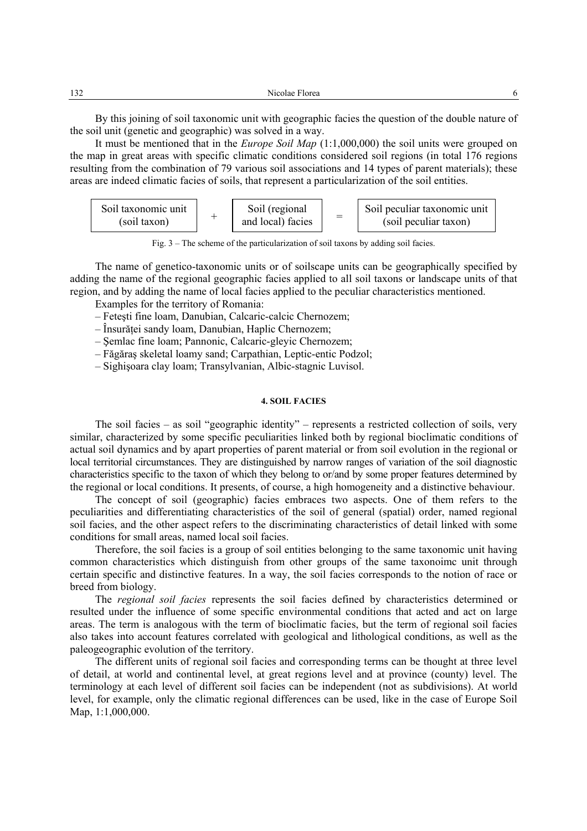| 122<br>-4<br>1 J 4<br>___ | -<br>. |  |
|---------------------------|--------|--|
|                           |        |  |

By this joining of soil taxonomic unit with geographic facies the question of the double nature of the soil unit (genetic and geographic) was solved in a way.

It must be mentioned that in the *Europe Soil Map* (1:1,000,000) the soil units were grouped on the map in great areas with specific climatic conditions considered soil regions (in total 176 regions resulting from the combination of 79 various soil associations and 14 types of parent materials); these areas are indeed climatic facies of soils, that represent a particularization of the soil entities.



Fig. 3 – The scheme of the particularization of soil taxons by adding soil facies.

The name of genetico-taxonomic units or of soilscape units can be geographically specified by adding the name of the regional geographic facies applied to all soil taxons or landscape units of that region, and by adding the name of local facies applied to the peculiar characteristics mentioned.

Examples for the territory of Romania:

– Feteşti fine loam, Danubian, Calcaric-calcic Chernozem;

– Însurăţei sandy loam, Danubian, Haplic Chernozem;

– Şemlac fine loam; Pannonic, Calcaric-gleyic Chernozem;

– Făgăraş skeletal loamy sand; Carpathian, Leptic-entic Podzol;

– Sighişoara clay loam; Transylvanian, Albic-stagnic Luvisol.

### **4. SOIL FACIES**

The soil facies – as soil "geographic identity" – represents a restricted collection of soils, very similar, characterized by some specific peculiarities linked both by regional bioclimatic conditions of actual soil dynamics and by apart properties of parent material or from soil evolution in the regional or local territorial circumstances. They are distinguished by narrow ranges of variation of the soil diagnostic characteristics specific to the taxon of which they belong to or/and by some proper features determined by the regional or local conditions. It presents, of course, a high homogeneity and a distinctive behaviour.

The concept of soil (geographic) facies embraces two aspects. One of them refers to the peculiarities and differentiating characteristics of the soil of general (spatial) order, named regional soil facies, and the other aspect refers to the discriminating characteristics of detail linked with some conditions for small areas, named local soil facies.

Therefore, the soil facies is a group of soil entities belonging to the same taxonomic unit having common characteristics which distinguish from other groups of the same taxonoimc unit through certain specific and distinctive features. In a way, the soil facies corresponds to the notion of race or breed from biology.

The *regional soil facies* represents the soil facies defined by characteristics determined or resulted under the influence of some specific environmental conditions that acted and act on large areas. The term is analogous with the term of bioclimatic facies, but the term of regional soil facies also takes into account features correlated with geological and lithological conditions, as well as the paleogeographic evolution of the territory.

The different units of regional soil facies and corresponding terms can be thought at three level of detail, at world and continental level, at great regions level and at province (county) level. The terminology at each level of different soil facies can be independent (not as subdivisions). At world level, for example, only the climatic regional differences can be used, like in the case of Europe Soil Map, 1:1,000,000.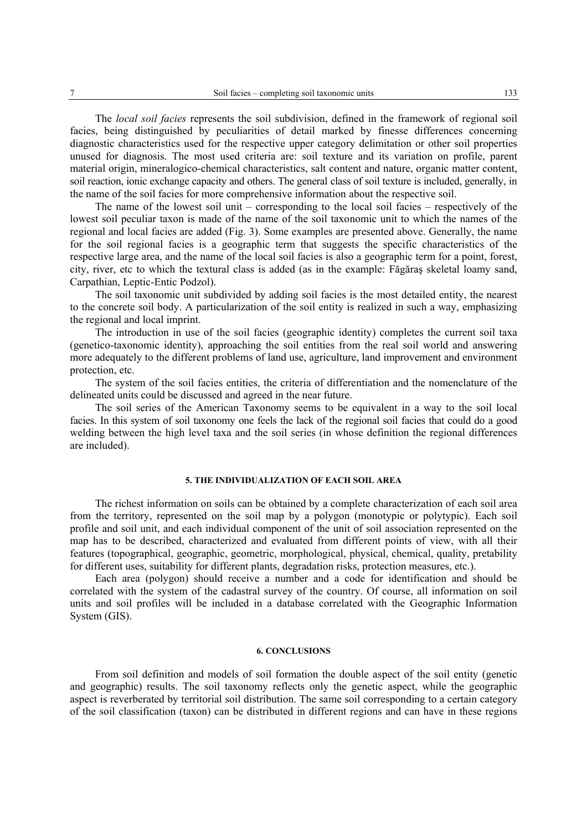The *local soil facies* represents the soil subdivision, defined in the framework of regional soil facies, being distinguished by peculiarities of detail marked by finesse differences concerning diagnostic characteristics used for the respective upper category delimitation or other soil properties unused for diagnosis. The most used criteria are: soil texture and its variation on profile, parent material origin, mineralogico-chemical characteristics, salt content and nature, organic matter content, soil reaction, ionic exchange capacity and others. The general class of soil texture is included, generally, in the name of the soil facies for more comprehensive information about the respective soil.

The name of the lowest soil unit – corresponding to the local soil facies – respectively of the lowest soil peculiar taxon is made of the name of the soil taxonomic unit to which the names of the regional and local facies are added (Fig. 3). Some examples are presented above. Generally, the name for the soil regional facies is a geographic term that suggests the specific characteristics of the respective large area, and the name of the local soil facies is also a geographic term for a point, forest, city, river, etc to which the textural class is added (as in the example: Făgăraş skeletal loamy sand, Carpathian, Leptic-Entic Podzol).

The soil taxonomic unit subdivided by adding soil facies is the most detailed entity, the nearest to the concrete soil body. A particularization of the soil entity is realized in such a way, emphasizing the regional and local imprint.

The introduction in use of the soil facies (geographic identity) completes the current soil taxa (genetico-taxonomic identity), approaching the soil entities from the real soil world and answering more adequately to the different problems of land use, agriculture, land improvement and environment protection, etc.

The system of the soil facies entities, the criteria of differentiation and the nomenclature of the delineated units could be discussed and agreed in the near future.

The soil series of the American Taxonomy seems to be equivalent in a way to the soil local facies. In this system of soil taxonomy one feels the lack of the regional soil facies that could do a good welding between the high level taxa and the soil series (in whose definition the regional differences are included).

## **5. THE INDIVIDUALIZATION OF EACH SOIL AREA**

The richest information on soils can be obtained by a complete characterization of each soil area from the territory, represented on the soil map by a polygon (monotypic or polytypic). Each soil profile and soil unit, and each individual component of the unit of soil association represented on the map has to be described, characterized and evaluated from different points of view, with all their features (topographical, geographic, geometric, morphological, physical, chemical, quality, pretability for different uses, suitability for different plants, degradation risks, protection measures, etc.).

Each area (polygon) should receive a number and a code for identification and should be correlated with the system of the cadastral survey of the country. Of course, all information on soil units and soil profiles will be included in a database correlated with the Geographic Information System (GIS).

### **6. CONCLUSIONS**

From soil definition and models of soil formation the double aspect of the soil entity (genetic and geographic) results. The soil taxonomy reflects only the genetic aspect, while the geographic aspect is reverberated by territorial soil distribution. The same soil corresponding to a certain category of the soil classification (taxon) can be distributed in different regions and can have in these regions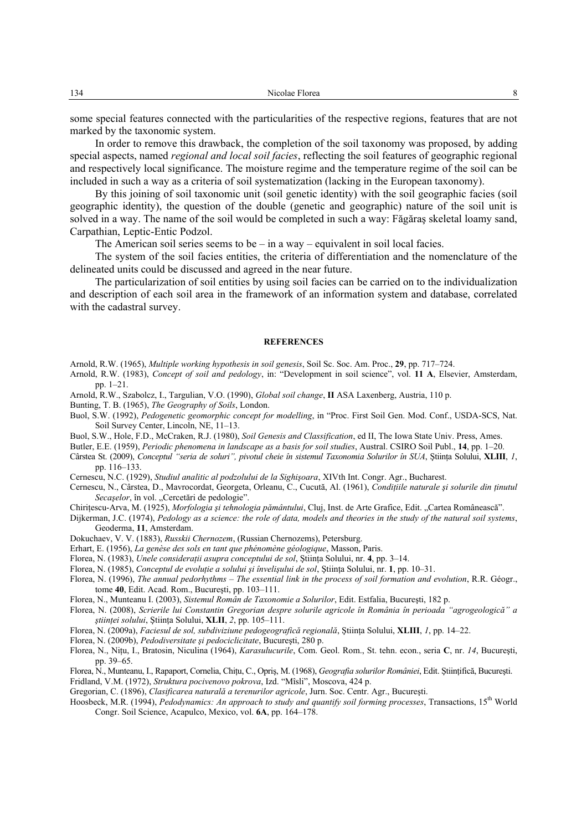| $\sim$<br>134 | ◥<br>101 CZ<br>аш<br>. |  |
|---------------|------------------------|--|
|               |                        |  |

some special features connected with the particularities of the respective regions, features that are not marked by the taxonomic system.

In order to remove this drawback, the completion of the soil taxonomy was proposed, by adding special aspects, named *regional and local soil facies*, reflecting the soil features of geographic regional and respectively local significance. The moisture regime and the temperature regime of the soil can be included in such a way as a criteria of soil systematization (lacking in the European taxonomy).

By this joining of soil taxonomic unit (soil genetic identity) with the soil geographic facies (soil geographic identity), the question of the double (genetic and geographic) nature of the soil unit is solved in a way. The name of the soil would be completed in such a way: Făgăraş skeletal loamy sand, Carpathian, Leptic-Entic Podzol.

The American soil series seems to be  $-$  in a way  $-$  equivalent in soil local facies.

The system of the soil facies entities, the criteria of differentiation and the nomenclature of the delineated units could be discussed and agreed in the near future.

The particularization of soil entities by using soil facies can be carried on to the individualization and description of each soil area in the framework of an information system and database, correlated with the cadastral survey.

#### **REFERENCES**

Arnold, R.W. (1965), *Multiple working hypothesis in soil genesis*, Soil Sc. Soc. Am. Proc., **29**, pp. 717–724.

Arnold, R.W. (1983), *Concept of soil and pedology*, in: "Development in soil science", vol. **11 A**, Elsevier, Amsterdam, pp. 1–21.

- Arnold, R.W., Szabolcz, I., Targulian, V.O. (1990), *Global soil change*, **II** ASA Laxenberg, Austria, 110 p.
- Bunting, T. B. (1965), *The Geography of Soils*, London.
- Buol, S.W. (1992), *Pedogenetic geomorphic concept for modelling*, in "Proc. First Soil Gen. Mod. Conf., USDA-SCS, Nat. Soil Survey Center, Lincoln, NE, 11–13.
- Buol, S.W., Hole, F.D., McCraken, R.J. (1980), *Soil Genesis and Classification*, ed II, The Iowa State Univ. Press, Ames.
- Butler, E.E. (1959), *Periodic phenomena in landscape as a basis for soil studies*, Austral. CSIRO Soil Publ., **14**, pp. 1–20.
- Cârstea St. (2009), *Conceptul "seria de soluri", pivotul cheie în sistemul Taxonomia Solurilor în SUA*, Ştiinţa Solului, **XLIII**, *1*, pp. 116–133.

Cernescu, N.C. (1929), *Studiul analitic al podzolului de la Sighişoara*, XIVth Int. Congr. Agr., Bucharest.

- Cernescu, N., Cârstea, D., Mavrocordat, Georgeta, Orleanu, C., Cucută, Al. (1961), *Condiţiile naturale şi solurile din ţinutul Secașelor*, în vol. "Cercetări de pedologie".
- Chirițescu-Arva, M. (1925), *Morfologia și tehnologia pământului*, Cluj, Inst. de Arte Grafice, Edit. "Cartea Românească".
- Dijkerman, J.C. (1974), *Pedology as a science: the role of data, models and theories in the study of the natural soil systems*, Geoderma, **11**, Amsterdam.
- Dokuchaev, V. V. (1883), *Russkii Chernozem*, (Russian Chernozems), Petersburg.
- Erhart, E. (1956), *La genèse des sols en tant que phénomène géologique*, Masson, Paris.
- Florea, N. (1983), *Unele consideraţii asupra conceptului de sol*, Ştiinţa Solului, nr. **4**, pp. 3–14.
- Florea, N. (1985), *Conceptul de evoluţie a solului şi învelişului de sol*, Ştiinţa Solului, nr. **1**, pp. 10–31.
- Florea, N. (1996), *The annual pedorhythms The essential link in the process of soil formation and evolution*, R.R. Géogr., tome **40**, Edit. Acad. Rom., Bucureşti, pp. 103–111.
- Florea, N., Munteanu I. (2003), *Sistemul Român de Taxonomie a Solurilor*, Edit. Estfalia, Bucureşti, 182 p.
- Florea, N. (2008), *Scrierile lui Constantin Gregorian despre solurile agricole în România în perioada "agrogeologică" a ştiinţei solului*, Ştiinţa Solului, **XLII**, *2*, pp. 105–111.
- Florea, N. (2009a), *Faciesul de sol, subdiviziune pedogeografică regională*, Ştiinţa Solului, **XLIII**, *1*, pp. 14–22.
- Florea, N. (2009b), *Pedodiversitate şi pedociclicitate*, Bucureşti, 280 p.
- Florea, N., Niţu, I., Bratosin, Niculina (1964), *Karasulucurile*, Com. Geol. Rom., St. tehn. econ., seria **C**, nr. *14*, Bucureşti, pp. 39–65.

Florea, N., Munteanu, I., Rapaport, Cornelia, Chiţu, C., Opriş, M. (1968), *Geografia solurilor României*, Edit. Ştiinţifică, Bucureşti.

- Fridland, V.M. (1972), *Struktura pocivenovo pokrova*, Izd. "Mîsli", Moscova, 424 p.
- Gregorian, C. (1896), *Clasificarea naturală a terenurilor agricole*, Jurn. Soc. Centr. Agr., Bucureşti.
- Hoosbeck, M.R. (1994), *Pedodynamics: An approach to study and quantify soil forming processes*, Transactions, 15th World Congr. Soil Science, Acapulco, Mexico, vol. **6A**, pp. 164–178.